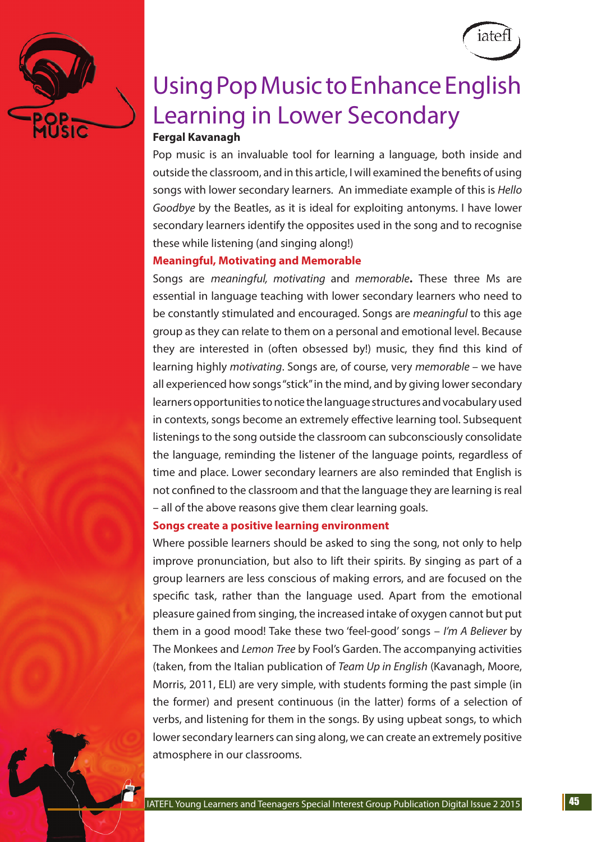



# Using Pop Music to Enhance English Learning in Lower Secondary

# **Fergal Kavanagh**

Pop music is an invaluable tool for learning a language, both inside and outside the classroom, and in this article, I will examined the benefits of using songs with lower secondary learners. An immediate example of this is *Hello Goodbye* by the Beatles, as it is ideal for exploiting antonyms. I have lower secondary learners identify the opposites used in the song and to recognise these while listening (and singing along!)

## **Meaningful, Motivating and Memorable**

Songs are *meaningful, motivating* and *memorable***.** These three Ms are essential in language teaching with lower secondary learners who need to be constantly stimulated and encouraged. Songs are *meaningful* to this age group as they can relate to them on a personal and emotional level. Because they are interested in (often obsessed by!) music, they find this kind of learning highly *motivating*. Songs are, of course, very *memorable* – we have all experienced how songs "stick" in the mind, and by giving lower secondary learners opportunities to notice the language structures and vocabulary used in contexts, songs become an extremely effective learning tool. Subsequent listenings to the song outside the classroom can subconsciously consolidate the language, reminding the listener of the language points, regardless of time and place. Lower secondary learners are also reminded that English is not confined to the classroom and that the language they are learning is real – all of the above reasons give them clear learning goals.

## **Songs create a positive learning environment**

Where possible learners should be asked to sing the song, not only to help improve pronunciation, but also to lift their spirits. By singing as part of a group learners are less conscious of making errors, and are focused on the specific task, rather than the language used. Apart from the emotional pleasure gained from singing, the increased intake of oxygen cannot but put them in a good mood! Take these two 'feel-good' songs – *I'm A Believer* by The Monkees and *Lemon Tree* by Fool's Garden. The accompanying activities (taken, from the Italian publication of *Team Up in English* (Kavanagh, Moore, Morris, 2011, ELI) are very simple, with students forming the past simple (in the former) and present continuous (in the latter) forms of a selection of verbs, and listening for them in the songs. By using upbeat songs, to which lower secondary learners can sing along, we can create an extremely positive atmosphere in our classrooms.